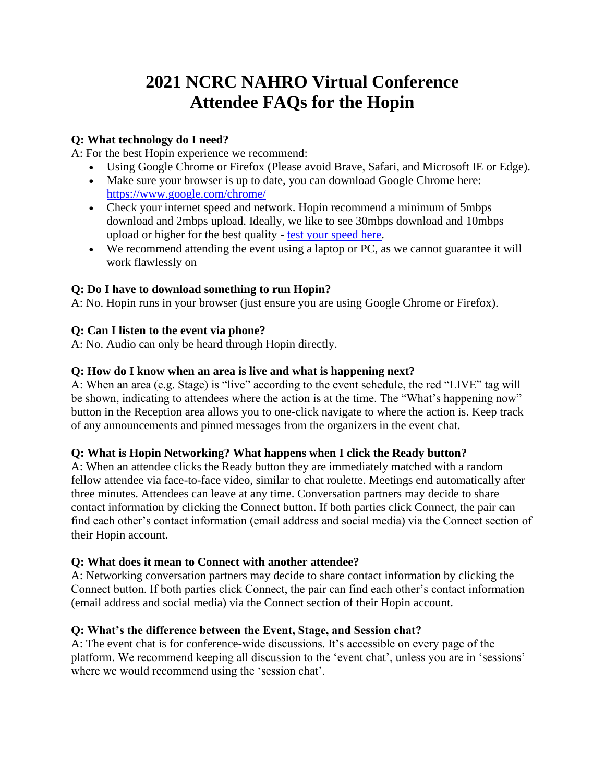## **2021 NCRC NAHRO Virtual Conference Attendee FAQs for the Hopin**

#### **Q: What technology do I need?**

A: For the best Hopin experience we recommend:

- Using Google Chrome or Firefox (Please avoid Brave, Safari, and Microsoft IE or Edge).
- Make sure your browser is up to date, you can download Google Chrome here[:](https://www.google.com/chrome/) <https://www.google.com/chrome/>
- Check your internet speed and network. Hopin recommend a minimum of 5mbps download and 2mbps upload. Ideally, we like to see 30mbps download and 10mbps upload or higher for the best quality - [test your speed here.](https://www.speedtest.net/)
- We recommend attending the event using a laptop or PC, as we cannot guarantee it will work flawlessly on

#### **Q: Do I have to download something to run Hopin?**

A: No. Hopin runs in your browser (just ensure you are using Google Chrome or Firefox).

#### **Q: Can I listen to the event via phone?**

A: No. Audio can only be heard through Hopin directly.

#### **Q: How do I know when an area is live and what is happening next?**

A: When an area (e.g. Stage) is "live" according to the event schedule, the red "LIVE" tag will be shown, indicating to attendees where the action is at the time. The "What's happening now" button in the Reception area allows you to one-click navigate to where the action is. Keep track of any announcements and pinned messages from the organizers in the event chat.

#### **Q: What is Hopin Networking? What happens when I click the Ready button?**

A: When an attendee clicks the Ready button they are immediately matched with a random fellow attendee via face-to-face video, similar to chat roulette. Meetings end automatically after three minutes. Attendees can leave at any time. Conversation partners may decide to share contact information by clicking the Connect button. If both parties click Connect, the pair can find each other's contact information (email address and social media) via the Connect section of their Hopin account.

#### **Q: What does it mean to Connect with another attendee?**

A: Networking conversation partners may decide to share contact information by clicking the Connect button. If both parties click Connect, the pair can find each other's contact information (email address and social media) via the Connect section of their Hopin account.

#### **Q: What's the difference between the Event, Stage, and Session chat?**

A: The event chat is for conference-wide discussions. It's accessible on every page of the platform. We recommend keeping all discussion to the 'event chat', unless you are in 'sessions' where we would recommend using the 'session chat'.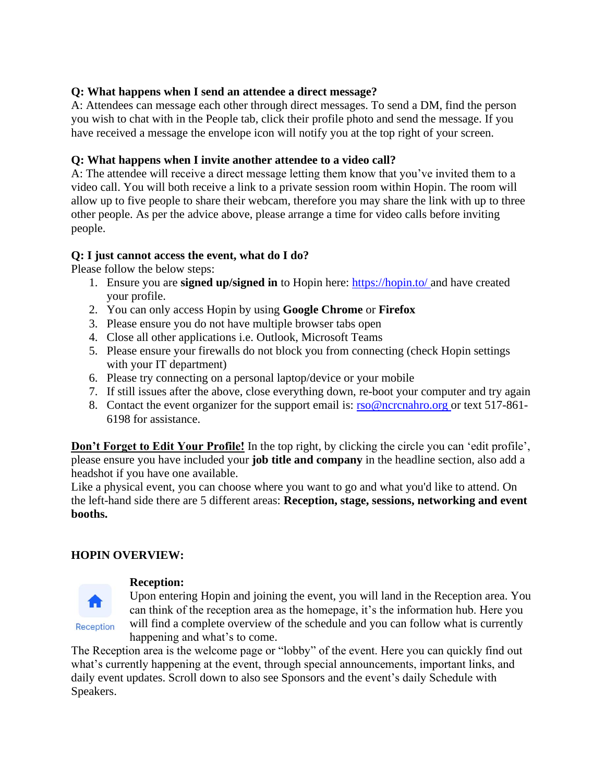#### **Q: What happens when I send an attendee a direct message?**

A: Attendees can message each other through direct messages. To send a DM, find the person you wish to chat with in the People tab, click their profile photo and send the message. If you have received a message the envelope icon will notify you at the top right of your screen.

#### **Q: What happens when I invite another attendee to a video call?**

A: The attendee will receive a direct message letting them know that you've invited them to a video call. You will both receive a link to a private session room within Hopin. The room will allow up to five people to share their webcam, therefore you may share the link with up to three other people. As per the advice above, please arrange a time for video calls before inviting people.

#### **Q: I just cannot access the event, what do I do?**

Please follow the below steps:

- 1. Ensure you are **signed up/signed in** to Hopin here: [https://hopin.to/ a](https://hopin.to/)nd have created your profile.
- 2. You can only access Hopin by using **Google Chrome** or **Firefox**
- 3. Please ensure you do not have multiple browser tabs open
- 4. Close all other applications i.e. Outlook, Microsoft Teams
- 5. Please ensure your firewalls do not block you from connecting (check Hopin settings with your IT department)
- 6. Please try connecting on a personal laptop/device or your mobile
- 7. If still issues after the above, close everything down, re-boot your computer and try again
- 8. Contact the event organizer for the support email is: [rso@ncrcnahro.org](mailto:rso@ncrcnahro.org) or text 517-861-6198 for assistance.

**Don't Forget to Edit Your Profile!** In the top right, by clicking the circle you can 'edit profile', please ensure you have included your **job title and company** in the headline section, also add a headshot if you have one available.

Like a physical event, you can choose where you want to go and what you'd like to attend. On the left-hand side there are 5 different areas: **Reception, stage, sessions, networking and event booths.**

#### **HOPIN OVERVIEW:**



Reception

#### **Reception:**

Upon entering Hopin and joining the event, you will land in the Reception area. You can think of the reception area as the homepage, it's the information hub. Here you will find a complete overview of the schedule and you can follow what is currently happening and what's to come.

The Reception area is the welcome page or "lobby" of the event. Here you can quickly find out what's currently happening at the event, through special announcements, important links, and daily event updates. Scroll down to also see Sponsors and the event's daily Schedule with Speakers.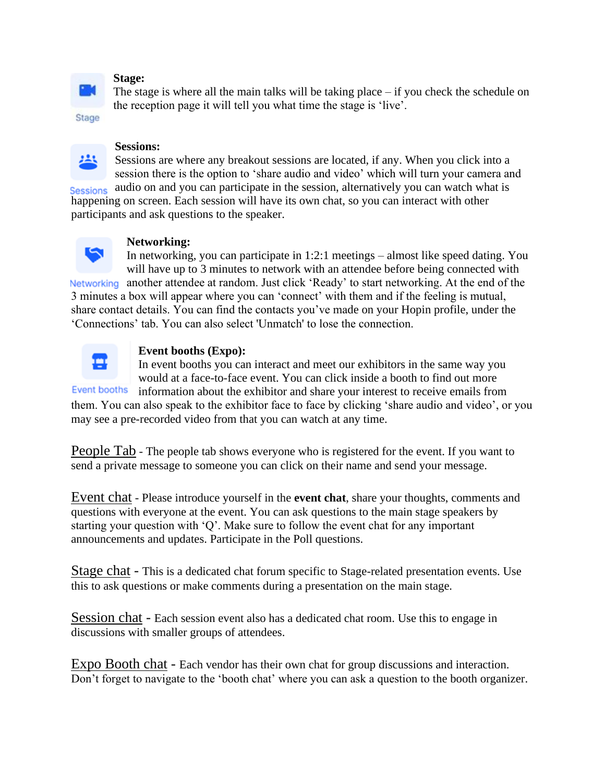# Stage

#### **Stage:**

The stage is where all the main talks will be taking place – if you check the schedule on the reception page it will tell you what time the stage is 'live'.



#### **Sessions:**

Sessions are where any breakout sessions are located, if any. When you click into a session there is the option to 'share audio and video' which will turn your camera and Sessions audio on and you can participate in the session, alternatively you can watch what is

happening on screen. Each session will have its own chat, so you can interact with other participants and ask questions to the speaker.



#### **Networking:**

In networking, you can participate in 1:2:1 meetings – almost like speed dating. You will have up to 3 minutes to network with an attendee before being connected with Networking another attendee at random. Just click 'Ready' to start networking. At the end of the 3 minutes a box will appear where you can 'connect' with them and if the feeling is mutual, share contact details. You can find the contacts you've made on your Hopin profile, under the

'Connections' tab. You can also select 'Unmatch' to lose the connection.



#### **Event booths (Expo):**

In event booths you can interact and meet our exhibitors in the same way you would at a face-to-face event. You can click inside a booth to find out more

**Event booths** information about the exhibitor and share your interest to receive emails from them. You can also speak to the exhibitor face to face by clicking 'share audio and video', or you may see a pre-recorded video from that you can watch at any time.

People Tab - The people tab shows everyone who is registered for the event. If you want to send a private message to someone you can click on their name and send your message.

Event chat - Please introduce yourself in the **event chat**, share your thoughts, comments and questions with everyone at the event. You can ask questions to the main stage speakers by starting your question with 'Q'. Make sure to follow the event chat for any important announcements and updates. Participate in the Poll questions.

Stage chat - This is a dedicated chat forum specific to Stage-related presentation events. Use this to ask questions or make comments during a presentation on the main stage.

Session chat - Each session event also has a dedicated chat room. Use this to engage in discussions with smaller groups of attendees.

Expo Booth chat - Each vendor has their own chat for group discussions and interaction. Don't forget to navigate to the 'booth chat' where you can ask a question to the booth organizer.